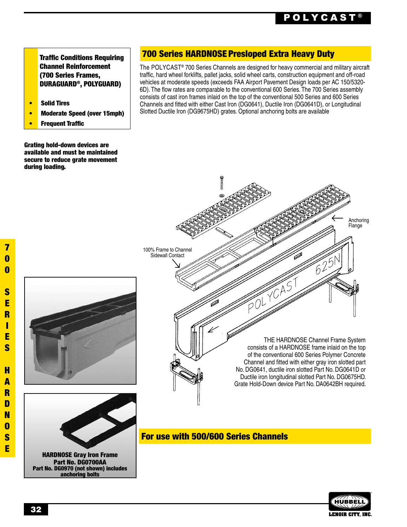Traffic Conditions Requiring Channel Reinforcement (700 Series Frames, DURAGUARD®, POLYGUARD)

- Solid Tires
- Moderate Speed (over 15mph)
- **Frequent Traffic**

Grating hold-down devices are available and must be maintained secure to reduce grate movement during loading.

## 700 Series HARDNOSE Presloped Extra Heavy Duty

The POLYCAST® 700 Series Channels are designed for heavy commercial and military aircraft traffic, hard wheel forklifts, pallet jacks, solid wheel carts, construction equipment and off-road vehicles at moderate speeds (exceeds FAA Airport Pavement Design loads per AC 150/5320- 6D). The flow rates are comparable to the conventional 600 Series. The 700 Series assembly consists of cast iron frames inlaid on the top of the conventional 500 Series and 600 Series Channels and fitted with either Cast Iron (DG0641), Ductile Iron (DG0641D), or Longitudinal Slotted Ductile Iron (DG9675HD) grates. Optional anchoring bolts are available





HARDNOSE Gray Iron Frame Part No. DG0700AA Part No. DG0970 (not shown) includes anchoring bolts



For use with 500/600 Series Channels

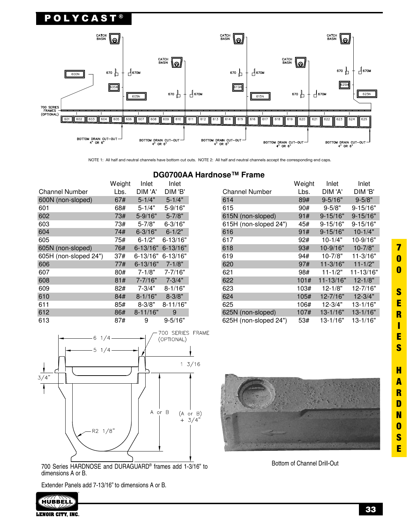

NOTE 1: All half and neutral channels have bottom cut outs. NOTE 2: All half and neutral channels accept the corresponding end caps.

|                       |        | <b>DG0700AA</b> |              |  |
|-----------------------|--------|-----------------|--------------|--|
|                       | Weight | Inlet           | Inlet        |  |
| <b>Channel Number</b> | Lbs.   | DIM 'A'         | DIM 'B'      |  |
| 600N (non-sloped)     | 67#    | $5 - 1/4"$      | $5 - 1/4"$   |  |
| 601                   | 68#    | $5 - 1/4"$      | 5-9/16"      |  |
| 602                   | 73#    | $5 - 9/16"$     | $5 - 7/8"$   |  |
| 603                   | 73#    | $5 - 7/8"$      | $6 - 3/16"$  |  |
| 604                   | 74#    | $6 - 3/16"$     | $6 - 1/2"$   |  |
| 605                   | 75#    | $6 - 1/2"$      | $6 - 13/16"$ |  |
| 605N (non-sloped)     | 76#    | $6 - 13/16"$    | $6 - 13/16"$ |  |
| 605H (non-sloped 24") | 37#    | 6-13/16"        | $6 - 13/16"$ |  |
| 606                   | 77#    | 6-13/16"        | $7 - 1/8"$   |  |
| 607                   | 80#    | $7 - 1/8"$      | 7-7/16"      |  |
| 608                   | 81#    | $7 - 7/16"$     | $7 - 3/4"$   |  |
| 609                   | 82#    | $7 - 3/4"$      | $8 - 1/16"$  |  |
| 610                   | 84#    | $8 - 1/16"$     | $8 - 3/8"$   |  |
| 611                   | 85#    | $8 - 3/8"$      | $8 - 11/16"$ |  |
| 612                   | 86#    | $8 - 11/16"$    | 9            |  |
| 613                   | 87#    | 9               | $9 - 5/16"$  |  |

A Hardnose™ Frame

| <b>Channel Number</b> | Weight<br>Lbs. | Inlet<br>DIM 'A' | Inlet<br>DIM 'B' |
|-----------------------|----------------|------------------|------------------|
| 614                   | 89#            | $9 - 5/16"$      | $9 - 5/8"$       |
| 615                   | 90#            | $9 - 5/8"$       | 9-15/16"         |
| 615N (non-sloped)     | 91#            | $9 - 15/16"$     | $9 - 15/16"$     |
| 615H (non-sloped 24") | 45#            | $9 - 15/16"$     | $9 - 15/16"$     |
| 616                   | 91#            | $9 - 15/16"$     | $10 - 1/4"$      |
| 617                   | 92#            | $10 - 1/4"$      | 10-9/16"         |
| 618                   | 93#            | 10-9/16"         | $10 - 7/8"$      |
| 619                   | 94#            | $10 - 7/8"$      | 11-3/16"         |
| 620                   | 97#            | $11 - 3/16"$     | $11 - 1/2"$      |
| 621                   | 98#            | $11 - 1/2"$      | 11-13/16"        |
| 622                   | 101#           | 11-13/16"        | $12 - 1/8"$      |
| 623                   | 103#           | $12 - 1/8"$      | 12-7/16"         |
| 624                   | 105#           | 12-7/16"         | $12 - 3/4"$      |
| 625                   | 106#           | $12 - 3/4"$      | 13-1/16"         |
| 625N (non-sloped)     | 107#           | $13 - 1/16"$     | $13 - 1/16"$     |
| 625H (non-sloped 24") | 53#            | 13-1/16"         | 13-1/16"         |



700 Series HARDNOSE and DURAGUARD® frames add 1-3/16" to dimensions A or B.

Extender Panels add 7-13/16" to dimensions A or B.





Bottom of Channel Drill-Out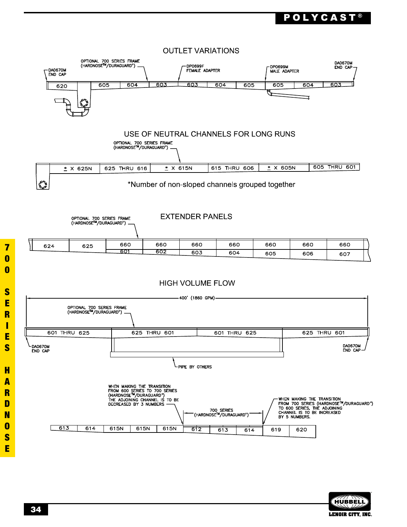# $\mathbf P$  o L Y C A S T  $^\circ$





E

 $\overline{\mathbf{7}}$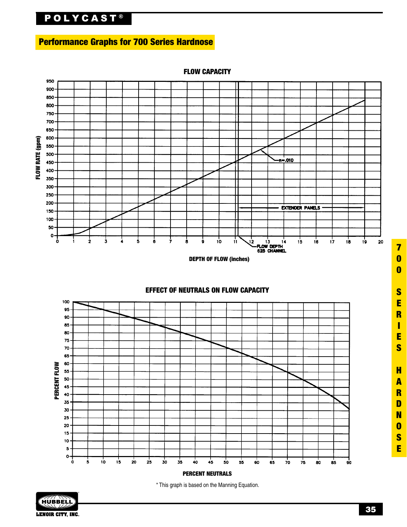# **POLYCAST®**

# Performance Graphs for 700 Series Hardnose



FLOW CAPACITY



\* This graph is based on the Manning Equation.



**35**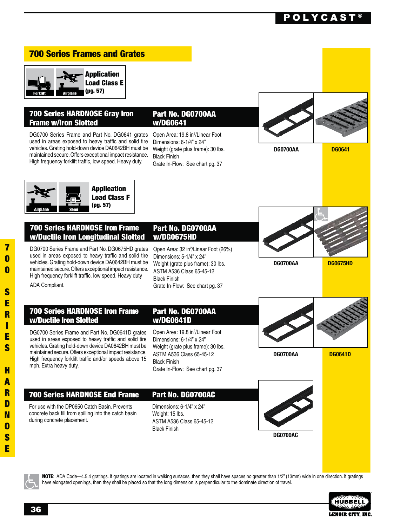# POLYCAST ®

## 700 Series Frames and Grates



## 700 Series HARDNOSE Gray Iron Frame w/Iron Slotted

DG0700 Series Frame and Part No. DG0641 grates used in areas exposed to heavy traffic and solid tire vehicles. Grating hold-down device DA0642BH must be maintained secure. Offers exceptional impact resistance. High frequency forklift traffic, low speed. Heavy duty.

#### Part No. DG0700AA w/DG0641

Open Area: 19.8 in<sup>2</sup>/Linear Foot Dimensions: 6-1/4" x 24" Weight (grate plus frame): 30 lbs. **Black Finish** Grate In-Flow: See chart pg. 37



**DG0700AA DG0675HD**

**DG0700AA DG0641D**

**DG0700AA DG0641**



#### 700 Series HARDNOSE Iron Frame w/Ductile Iron Longitudinal Slotted

DG0700 Series Frame and Part No. DG0675HD grates used in areas exposed to heavy traffic and solid tire vehicles. Grating hold-down device DA0642BH must be maintained secure. Offers exceptional impact resistance. High frequency forklift traffic, low speed. Heavy duty

#### Part No. DG0700AA w/DG0675HD

Open Area: 32 in<sup>2</sup>/Linear Foot (26%) Dimensions: 5-1/4" x 24" Weight (grate plus frame): 30 lbs. ASTM A536 Class 65-45-12 Black Finish Grate In-Flow: See chart pg. 37

ADA Compliant.

### 700 Series HARDNOSE Iron Frame w/Ductile Iron Slotted

DG0700 Series Frame and Part No. DG0641D grates used in areas exposed to heavy traffic and solid tire vehicles. Grating hold-down device DA0642BH must be maintained secure. Offers exceptional impact resistance. High frequency forklift traffic and/or speeds above 15 mph. Extra heavy duty.

#### Part No. DG0700AA w/DG0641D

Open Area: 19.8 in<sup>2</sup>/Linear Foot Dimensions: 6-1/4" x 24" Weight (grate plus frame): 30 lbs. ASTM A536 Class 65-45-12 **Black Finish** Grate In-Flow: See chart pg. 37

## 700 Series HARDNOSE End Frame

For use with the DP0650 Catch Basin, Prevents concrete back fill from spilling into the catch basin during concrete placement.

Dimensions: 6-1/4" x 24" Weight: 15 lbs. ASTM A536 Class 65-45-12 **Black Finish** 

Part No. DG0700AC





NOTE: ADA Code-4.5.4 gratings. If gratings are located in walking surfaces, then they shall have spaces no greater than 1/2" (13mm) wide in one direction. If gratings have elongated openings, then they shall be placed so that the long dimension is perpendicular to the dominate direction of travel.

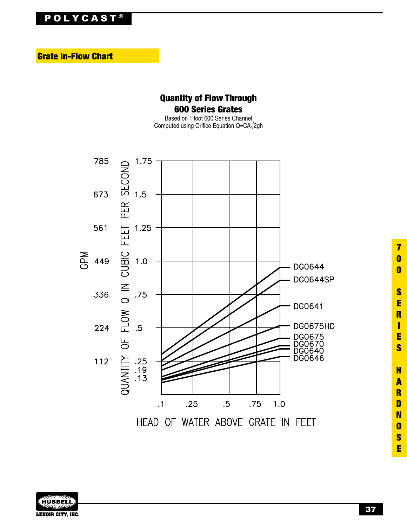# **POLYCAST®**

**Grate In-Flow Chart** 

# **Quantity of Flow Through 600 Series Grates**

Based on 1 foot 600 Series Channel Computed using Orifice Equation Q=CA $\sqrt{2gh}$ 





 $\overline{\mathbf{7}}$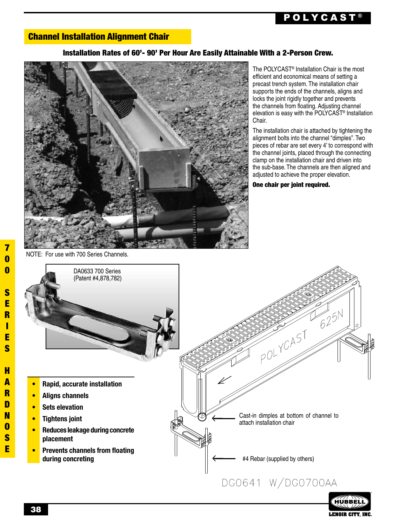# POLYCAST ®

## Channel Installation Alignment Chair

### Installation Rates of 60'- 90' Per Hour Are Easily Attainable With a 2-Person Crew.



The POLYCAST® Installation Chair is the most efficient and economical means of setting a precast trench system. The installation chair supports the ends of the channels, aligns and locks the joint rigidly together and prevents the channels from floating. Adjusting channel elevation is easy with the POLYCAST® Installation Chair.

The installation chair is attached by tightening the alignment bolts into the channel "dimples". Two pieces of rebar are set every 4' to correspond with the channel joints, placed through the connecting clamp on the installation chair and driven into the sub-base. The channels are then aligned and adjusted to achieve the proper elevation.

**LENOIR CITY, INC.** 

One chair per joint required.

NOTE: For use with 700 Series Channels.



7